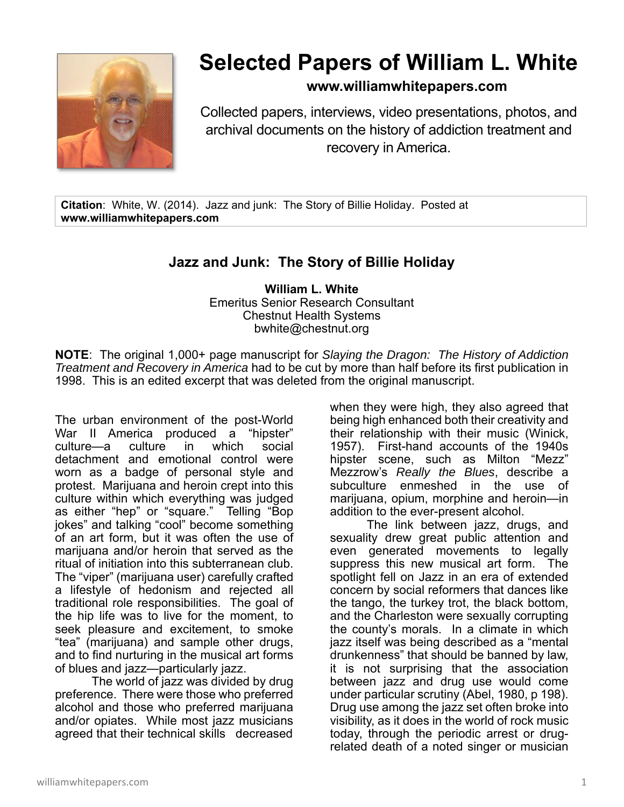

## **Selected Papers of William L. White**

## **www.williamwhitepapers.com**

Collected papers, interviews, video presentations, photos, and archival documents on the history of addiction treatment and recovery in America.

**Citation**: White, W. (2014). Jazz and junk: The Story of Billie Holiday. Posted at **www.williamwhitepapers.com** 

## **Jazz and Junk: The Story of Billie Holiday**

**William L. White**  Emeritus Senior Research Consultant Chestnut Health Systems bwhite@chestnut.org

**NOTE**: The original 1,000+ page manuscript for *Slaying the Dragon: The History of Addiction Treatment and Recovery in America* had to be cut by more than half before its first publication in 1998. This is an edited excerpt that was deleted from the original manuscript.

The urban environment of the post-World War II America produced a "hipster"<br>culture—a culture in which social culture—a culture in which social detachment and emotional control were worn as a badge of personal style and protest. Marijuana and heroin crept into this culture within which everything was judged as either "hep" or "square." Telling "Bop jokes" and talking "cool" become something of an art form, but it was often the use of marijuana and/or heroin that served as the ritual of initiation into this subterranean club. The "viper" (marijuana user) carefully crafted a lifestyle of hedonism and rejected all traditional role responsibilities. The goal of the hip life was to live for the moment, to seek pleasure and excitement, to smoke "tea" (marijuana) and sample other drugs, and to find nurturing in the musical art forms of blues and jazz—particularly jazz.

The world of jazz was divided by drug preference. There were those who preferred alcohol and those who preferred marijuana and/or opiates. While most jazz musicians agreed that their technical skills decreased

when they were high, they also agreed that being high enhanced both their creativity and their relationship with their music (Winick, 1957). First-hand accounts of the 1940s hipster scene, such as Milton "Mezz" Mezzrow's *Really the Blues*, describe a subculture enmeshed in the use of marijuana, opium, morphine and heroin—in addition to the ever-present alcohol.

The link between jazz, drugs, and sexuality drew great public attention and even generated movements to legally suppress this new musical art form. The spotlight fell on Jazz in an era of extended concern by social reformers that dances like the tango, the turkey trot, the black bottom, and the Charleston were sexually corrupting the county's morals. In a climate in which jazz itself was being described as a "mental drunkenness" that should be banned by law, it is not surprising that the association between jazz and drug use would come under particular scrutiny (Abel, 1980, p 198). Drug use among the jazz set often broke into visibility, as it does in the world of rock music today, through the periodic arrest or drugrelated death of a noted singer or musician